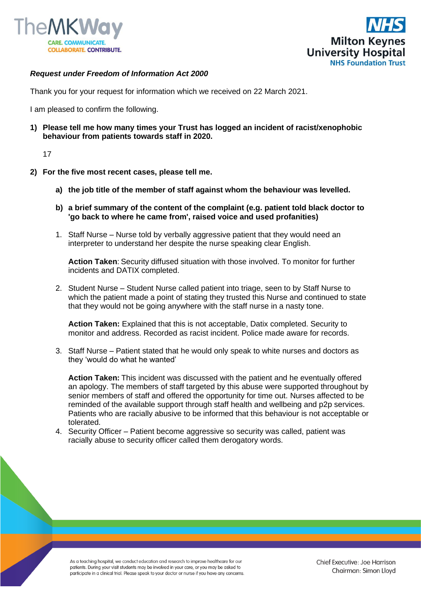



## *Request under Freedom of Information Act 2000*

Thank you for your request for information which we received on 22 March 2021.

I am pleased to confirm the following.

**1) Please tell me how many times your Trust has logged an incident of racist/xenophobic behaviour from patients towards staff in 2020.**

17

- **2) For the five most recent cases, please tell me.**
	- **a) the job title of the member of staff against whom the behaviour was levelled.**
	- **b) a brief summary of the content of the complaint (e.g. patient told black doctor to 'go back to where he came from', raised voice and used profanities)**
	- 1. Staff Nurse Nurse told by verbally aggressive patient that they would need an interpreter to understand her despite the nurse speaking clear English.

**Action Taken**: Security diffused situation with those involved. To monitor for further incidents and DATIX completed.

2. Student Nurse – Student Nurse called patient into triage, seen to by Staff Nurse to which the patient made a point of stating they trusted this Nurse and continued to state that they would not be going anywhere with the staff nurse in a nasty tone.

**Action Taken:** Explained that this is not acceptable, Datix completed. Security to monitor and address. Recorded as racist incident. Police made aware for records.

3. Staff Nurse – Patient stated that he would only speak to white nurses and doctors as they 'would do what he wanted'

**Action Taken:** This incident was discussed with the patient and he eventually offered an apology. The members of staff targeted by this abuse were supported throughout by senior members of staff and offered the opportunity for time out. Nurses affected to be reminded of the available support through staff health and wellbeing and p2p services. Patients who are racially abusive to be informed that this behaviour is not acceptable or tolerated.

4. Security Officer – Patient become aggressive so security was called, patient was racially abuse to security officer called them derogatory words.

As a teaching hospital, we conduct education and research to improve healthcare for our patients. During your visit students may be involved in your care, or you may be asked to participate in a clinical trial. Please speak to your doctor or nurse if you have any concerns.